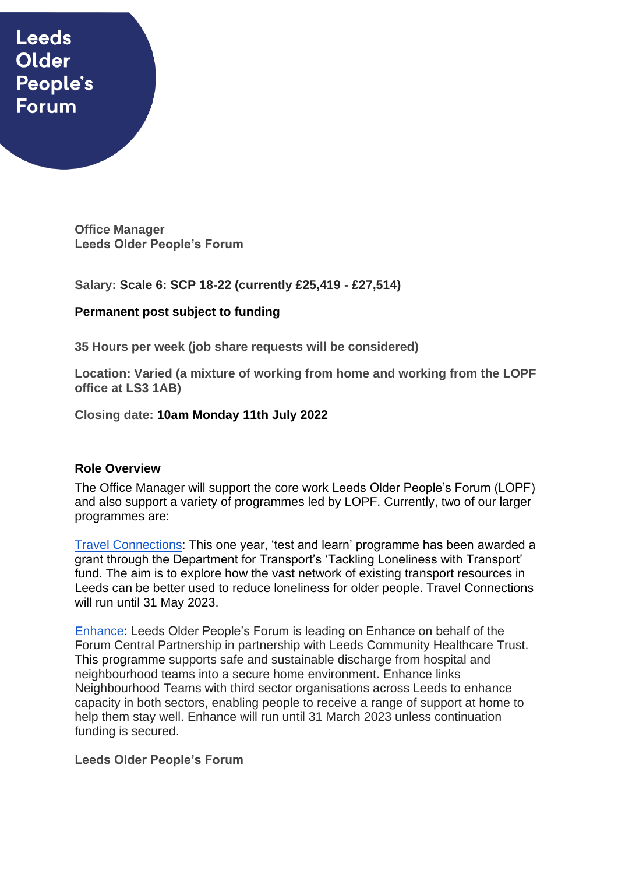# **Leeds** Older People's **Forum**

**Office Manager Leeds Older People's Forum**

**Salary: Scale 6: SCP 18-22 (currently £25,419 - £27,514)**

# **Permanent post subject to funding**

**35 Hours per week (job share requests will be considered)**

**Location: Varied (a mixture of working from home and working from the LOPF office at LS3 1AB)** 

**Closing date: 10am Monday 11th July 2022**

# **Role Overview**

The Office Manager will support the core work Leeds Older People's Forum (LOPF) and also support a variety of programmes led by LOPF. Currently, two of our larger programmes are:

[Travel Connections:](https://www.opforum.org.uk/projects-and-campaigns/travel-connections/) This one year, 'test and learn' programme has been awarded a grant through the Department for Transport's 'Tackling Loneliness with Transport' fund. The aim is to explore how the vast network of existing transport resources in Leeds can be better used to reduce loneliness for older people. Travel Connections will run until 31 May 2023.

[Enhance:](https://www.opforum.org.uk/projects-and-campaigns/enhance-programme/) Leeds Older People's Forum is leading on Enhance on behalf of the Forum Central Partnership in partnership with Leeds Community Healthcare Trust. This programme supports safe and sustainable discharge from hospital and neighbourhood teams into a secure home environment. Enhance links Neighbourhood Teams with third sector organisations across Leeds to enhance capacity in both sectors, enabling people to receive a range of support at home to help them stay well. Enhance will run until 31 March 2023 unless continuation funding is secured.

## **Leeds Older People's Forum**